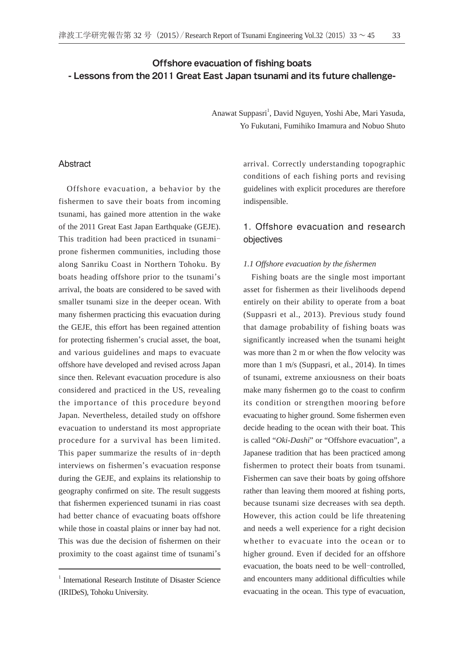## Offshore evacuation of fishing boats - Lessons from the 2011 Great East Japan tsunami and its future challenge-

Anawat Suppasri<sup>1</sup>, David Nguyen, Yoshi Abe, Mari Yasuda, Yo Fukutani, Fumihiko Imamura and Nobuo Shuto

## Abstract

Offshore evacuation, a behavior by the fishermen to save their boats from incoming tsunami, has gained more attention in the wake of the 2011 Great East Japan Earthquake (GEJE). This tradition had been practiced in tsunami prone fishermen communities, including those along Sanriku Coast in Northern Tohoku. By boats heading offshore prior to the tsunami's arrival, the boats are considered to be saved with smaller tsunami size in the deeper ocean. With many fishermen practicing this evacuation during the GEJE, this effort has been regained attention for protecting fishermen's crucial asset, the boat, and various guidelines and maps to evacuate offshore have developed and revised across Japan since then. Relevant evacuation procedure is also considered and practiced in the US, revealing the importance of this procedure beyond Japan. Nevertheless, detailed study on offshore evacuation to understand its most appropriate procedure for a survival has been limited. This paper summarize the results of in-depth interviews on fishermen's evacuation response during the GEJE, and explains its relationship to geography confirmed on site. The result suggests that fishermen experienced tsunami in rias coast had better chance of evacuating boats offshore while those in coastal plains or inner bay had not. This was due the decision of fishermen on their proximity to the coast against time of tsunami's

arrival. Correctly understanding topographic conditions of each fishing ports and revising guidelines with explicit procedures are therefore indispensible.

# 1. Offshore evacuation and research objectives

#### *1.1 Offshore evacuation by the fishermen*

Fishing boats are the single most important asset for fishermen as their livelihoods depend entirely on their ability to operate from a boat (Suppasri et al., 2013). Previous study found that damage probability of fishing boats was significantly increased when the tsunami height was more than 2 m or when the flow velocity was more than 1 m/s (Suppasri, et al., 2014). In times of tsunami, extreme anxiousness on their boats make many fishermen go to the coast to confirm its condition or strengthen mooring before evacuating to higher ground. Some fishermen even decide heading to the ocean with their boat. This is called "*Oki-Dashi*" or "Offshore evacuation", a Japanese tradition that has been practiced among fishermen to protect their boats from tsunami. Fishermen can save their boats by going offshore rather than leaving them moored at fishing ports, because tsunami size decreases with sea depth. However, this action could be life threatening and needs a well experience for a right decision whether to evacuate into the ocean or to higher ground. Even if decided for an offshore evacuation, the boats need to be well-controlled, and encounters many additional difficulties while evacuating in the ocean. This type of evacuation,

<sup>&</sup>lt;sup>1</sup> International Research Institute of Disaster Science (IRIDeS), Tohoku University.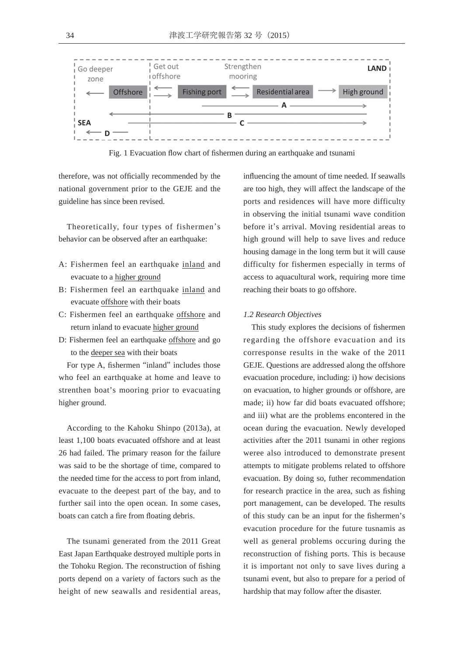

Fig. 1 Evacuation flow chart of fishermen during an earthquake and tsunami

therefore, was not officially recommended by the national government prior to the GEJE and the guideline has since been revised.

Theoretically, four types of fishermen's behavior can be observed after an earthquake:

- A: Fishermen feel an earthquake inland and evacuate to a higher ground
- B: Fishermen feel an earthquake inland and evacuate offshore with their boats
- C: Fishermen feel an earthquake offshore and return inland to evacuate higher ground
- D: Fishermen feel an earthquake offshore and go to the deeper sea with their boats

For type A, fishermen "inland" includes those who feel an earthquake at home and leave to strenthen boat's mooring prior to evacuating higher ground.

According to the Kahoku Shinpo (2013a), at least 1,100 boats evacuated offshore and at least 26 had failed. The primary reason for the failure was said to be the shortage of time, compared to the needed time for the access to port from inland, evacuate to the deepest part of the bay, and to further sail into the open ocean. In some cases, boats can catch a fire from floating debris.

The tsunami generated from the 2011 Great East Japan Earthquake destroyed multiple ports in the Tohoku Region. The reconstruction of fishing ports depend on a variety of factors such as the height of new seawalls and residential areas, influencing the amount of time needed. If seawalls are too high, they will affect the landscape of the ports and residences will have more difficulty in observing the initial tsunami wave condition before it's arrival. Moving residential areas to high ground will help to save lives and reduce housing damage in the long term but it will cause difficulty for fishermen especially in terms of access to aquacultural work, requiring more time reaching their boats to go offshore.

#### *1.2 Research Objectives*

This study explores the decisions of fishermen regarding the offshore evacuation and its corresponse results in the wake of the 2011 GEJE. Questions are addressed along the offshore evacuation procedure, including: i) how decisions on evacuation, to higher grounds or offshore, are made; ii) how far did boats evacuated offshore; and iii) what are the problems encontered in the ocean during the evacuation. Newly developed activities after the 2011 tsunami in other regions weree also introduced to demonstrate present attempts to mitigate problems related to offshore evacuation. By doing so, futher recommendation for research practice in the area, such as fishing port management, can be developed. The results of this study can be an input for the fishermen's evacution procedure for the future tusnamis as well as general problems occuring during the reconstruction of fishing ports. This is because it is important not only to save lives during a tsunami event, but also to prepare for a period of hardship that may follow after the disaster.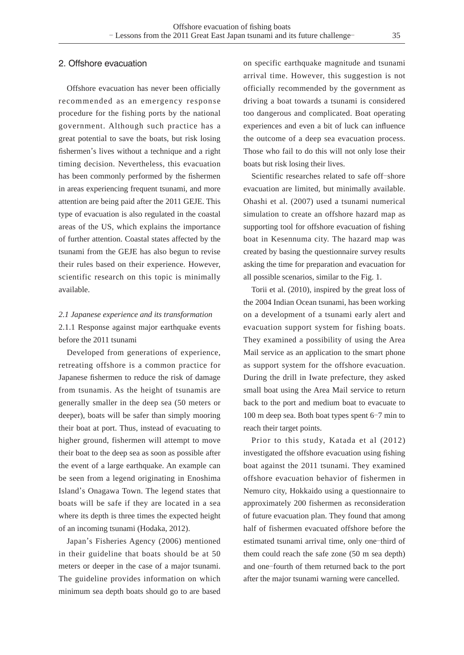### 2. Offshore evacuation

Offshore evacuation has never been officially recommended as an emergency response procedure for the fishing ports by the national government. Although such practice has a great potential to save the boats, but risk losing fishermen's lives without a technique and a right timing decision. Nevertheless, this evacuation has been commonly performed by the fishermen in areas experiencing frequent tsunami, and more attention are being paid after the 2011 GEJE. This type of evacuation is also regulated in the coastal areas of the US, which explains the importance of further attention. Coastal states affected by the tsunami from the GEJE has also begun to revise their rules based on their experience. However, scientific research on this topic is minimally available.

# *2.1 Japanese experience and its transformation* 2.1.1 Response against major earthquake events before the 2011 tsunami

Developed from generations of experience, retreating offshore is a common practice for Japanese fishermen to reduce the risk of damage from tsunamis. As the height of tsunamis are generally smaller in the deep sea (50 meters or deeper), boats will be safer than simply mooring their boat at port. Thus, instead of evacuating to higher ground, fishermen will attempt to move their boat to the deep sea as soon as possible after the event of a large earthquake. An example can be seen from a legend originating in Enoshima Island's Onagawa Town. The legend states that boats will be safe if they are located in a sea where its depth is three times the expected height of an incoming tsunami (Hodaka, 2012).

Japan's Fisheries Agency (2006) mentioned in their guideline that boats should be at 50 meters or deeper in the case of a major tsunami. The guideline provides information on which minimum sea depth boats should go to are based

on specific earthquake magnitude and tsunami arrival time. However, this suggestion is not officially recommended by the government as driving a boat towards a tsunami is considered too dangerous and complicated. Boat operating experiences and even a bit of luck can influence the outcome of a deep sea evacuation process. Those who fail to do this will not only lose their boats but risk losing their lives.

Scientific researches related to safe off-shore evacuation are limited, but minimally available. Ohashi et al. (2007) used a tsunami numerical simulation to create an offshore hazard map as supporting tool for offshore evacuation of fishing boat in Kesennuma city. The hazard map was created by basing the questionnaire survey results asking the time for preparation and evacuation for all possible scenarios, similar to the Fig. 1.

Torii et al. (2010), inspired by the great loss of the 2004 Indian Ocean tsunami, has been working on a development of a tsunami early alert and evacuation support system for fishing boats. They examined a possibility of using the Area Mail service as an application to the smart phone as support system for the offshore evacuation. During the drill in Iwate prefecture, they asked small boat using the Area Mail service to return back to the port and medium boat to evacuate to 100 m deep sea. Both boat types spent 6-7 min to reach their target points.

Prior to this study, Katada et al (2012) investigated the offshore evacuation using fishing boat against the 2011 tsunami. They examined offshore evacuation behavior of fishermen in Nemuro city, Hokkaido using a questionnaire to approximately 200 fishermen as reconsideration of future evacuation plan. They found that among half of fishermen evacuated offshore before the estimated tsunami arrival time, only one-third of them could reach the safe zone (50 m sea depth) and one-fourth of them returned back to the port after the major tsunami warning were cancelled.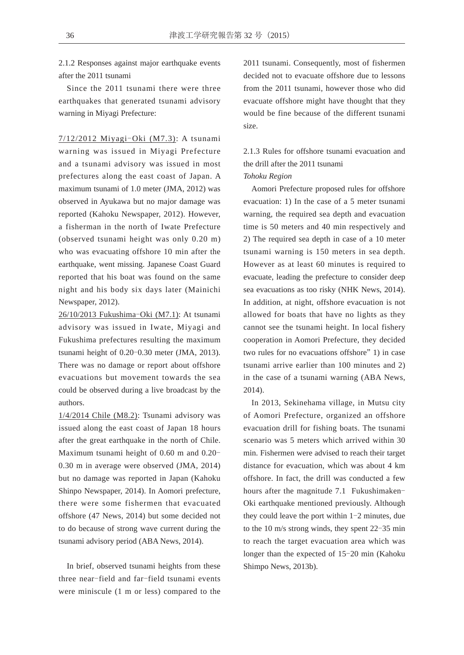2.1.2 Responses against major earthquake events after the 2011 tsunami

Since the 2011 tsunami there were three earthquakes that generated tsunami advisory warning in Miyagi Prefecture:

7/12/2012 Miyagi-Oki (M7.3): A tsunami warning was issued in Miyagi Prefecture and a tsunami advisory was issued in most prefectures along the east coast of Japan. A maximum tsunami of 1.0 meter (JMA, 2012) was observed in Ayukawa but no major damage was reported (Kahoku Newspaper, 2012). However, a fisherman in the north of Iwate Prefecture (observed tsunami height was only 0.20 m) who was evacuating offshore 10 min after the earthquake, went missing. Japanese Coast Guard reported that his boat was found on the same night and his body six days later (Mainichi Newspaper, 2012).

26/10/2013 Fukushima-Oki (M7.1): At tsunami advisory was issued in Iwate, Miyagi and Fukushima prefectures resulting the maximum tsunami height of  $0.20-0.30$  meter (JMA, 2013). There was no damage or report about offshore evacuations but movement towards the sea could be observed during a live broadcast by the authors.

1/4/2014 Chile (M8.2): Tsunami advisory was issued along the east coast of Japan 18 hours after the great earthquake in the north of Chile. Maximum tsunami height of 0.60 m and 0.20 0.30 m in average were observed (JMA, 2014) but no damage was reported in Japan (Kahoku Shinpo Newspaper, 2014). In Aomori prefecture, there were some fishermen that evacuated offshore (47 News, 2014) but some decided not to do because of strong wave current during the tsunami advisory period (ABA News, 2014).

In brief, observed tsunami heights from these three near-field and far-field tsunami events were miniscule (1 m or less) compared to the 2011 tsunami. Consequently, most of fishermen decided not to evacuate offshore due to lessons from the 2011 tsunami, however those who did evacuate offshore might have thought that they would be fine because of the different tsunami size.

# 2.1.3 Rules for offshore tsunami evacuation and the drill after the 2011 tsunami *Tohoku Region*

Aomori Prefecture proposed rules for offshore evacuation: 1) In the case of a 5 meter tsunami warning, the required sea depth and evacuation time is 50 meters and 40 min respectively and 2) The required sea depth in case of a 10 meter tsunami warning is 150 meters in sea depth. However as at least 60 minutes is required to evacuate, leading the prefecture to consider deep sea evacuations as too risky (NHK News, 2014). In addition, at night, offshore evacuation is not allowed for boats that have no lights as they cannot see the tsunami height. In local fishery cooperation in Aomori Prefecture, they decided two rules for no evacuations offshore" 1) in case tsunami arrive earlier than 100 minutes and 2) in the case of a tsunami warning (ABA News, 2014).

In 2013, Sekinehama village, in Mutsu city of Aomori Prefecture, organized an offshore evacuation drill for fishing boats. The tsunami scenario was 5 meters which arrived within 30 min. Fishermen were advised to reach their target distance for evacuation, which was about 4 km offshore. In fact, the drill was conducted a few hours after the magnitude 7.1 Fukushimaken-Oki earthquake mentioned previously. Although they could leave the port within  $1-2$  minutes, due to the 10 m/s strong winds, they spent  $22-35$  min to reach the target evacuation area which was longer than the expected of 15-20 min (Kahoku Shimpo News, 2013b).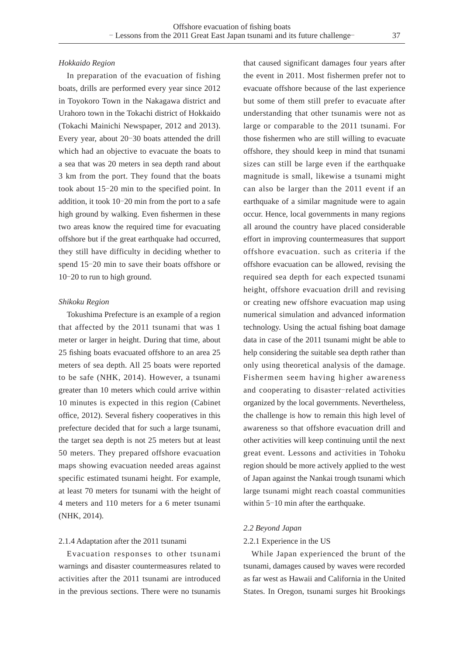#### *Hokkaido Region*

In preparation of the evacuation of fishing boats, drills are performed every year since 2012 in Toyokoro Town in the Nakagawa district and Urahoro town in the Tokachi district of Hokkaido (Tokachi Mainichi Newspaper, 2012 and 2013). Every year, about 20-30 boats attended the drill which had an objective to evacuate the boats to a sea that was 20 meters in sea depth rand about 3 km from the port. They found that the boats took about 15-20 min to the specified point. In addition, it took  $10-20$  min from the port to a safe high ground by walking. Even fishermen in these two areas know the required time for evacuating offshore but if the great earthquake had occurred, they still have difficulty in deciding whether to spend 15-20 min to save their boats offshore or 10-20 to run to high ground.

#### *Shikoku Region*

Tokushima Prefecture is an example of a region that affected by the 2011 tsunami that was 1 meter or larger in height. During that time, about 25 fishing boats evacuated offshore to an area 25 meters of sea depth. All 25 boats were reported to be safe (NHK, 2014). However, a tsunami greater than 10 meters which could arrive within 10 minutes is expected in this region (Cabinet office, 2012). Several fishery cooperatives in this prefecture decided that for such a large tsunami, the target sea depth is not 25 meters but at least 50 meters. They prepared offshore evacuation maps showing evacuation needed areas against specific estimated tsunami height. For example, at least 70 meters for tsunami with the height of 4 meters and 110 meters for a 6 meter tsunami (NHK, 2014).

### 2.1.4 Adaptation after the 2011 tsunami

Evacuation responses to other tsunami warnings and disaster countermeasures related to activities after the 2011 tsunami are introduced in the previous sections. There were no tsunamis that caused significant damages four years after the event in 2011. Most fishermen prefer not to evacuate offshore because of the last experience but some of them still prefer to evacuate after understanding that other tsunamis were not as large or comparable to the 2011 tsunami. For those fishermen who are still willing to evacuate offshore, they should keep in mind that tsunami sizes can still be large even if the earthquake magnitude is small, likewise a tsunami might can also be larger than the 2011 event if an earthquake of a similar magnitude were to again occur. Hence, local governments in many regions all around the country have placed considerable effort in improving countermeasures that support offshore evacuation. such as criteria if the offshore evacuation can be allowed, revising the required sea depth for each expected tsunami height, offshore evacuation drill and revising or creating new offshore evacuation map using numerical simulation and advanced information technology. Using the actual fishing boat damage data in case of the 2011 tsunami might be able to help considering the suitable sea depth rather than only using theoretical analysis of the damage. Fishermen seem having higher awareness and cooperating to disaster-related activities organized by the local governments. Nevertheless, the challenge is how to remain this high level of awareness so that offshore evacuation drill and other activities will keep continuing until the next great event. Lessons and activities in Tohoku region should be more actively applied to the west of Japan against the Nankai trough tsunami which large tsunami might reach coastal communities within  $5-10$  min after the earthquake.

#### *2.2 Beyond Japan*

#### 2.2.1 Experience in the US

While Japan experienced the brunt of the tsunami, damages caused by waves were recorded as far west as Hawaii and California in the United States. In Oregon, tsunami surges hit Brookings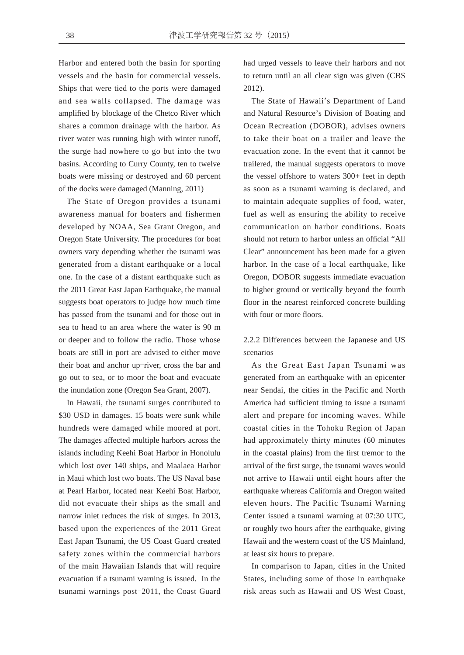Harbor and entered both the basin for sporting vessels and the basin for commercial vessels. Ships that were tied to the ports were damaged and sea walls collapsed. The damage was amplified by blockage of the Chetco River which shares a common drainage with the harbor. As river water was running high with winter runoff, the surge had nowhere to go but into the two basins. According to Curry County, ten to twelve boats were missing or destroyed and 60 percent of the docks were damaged (Manning, 2011)

The State of Oregon provides a tsunami awareness manual for boaters and fishermen developed by NOAA, Sea Grant Oregon, and Oregon State University. The procedures for boat owners vary depending whether the tsunami was generated from a distant earthquake or a local one. In the case of a distant earthquake such as the 2011 Great East Japan Earthquake, the manual suggests boat operators to judge how much time has passed from the tsunami and for those out in sea to head to an area where the water is 90 m or deeper and to follow the radio. Those whose boats are still in port are advised to either move their boat and anchor up-river, cross the bar and go out to sea, or to moor the boat and evacuate the inundation zone (Oregon Sea Grant, 2007).

In Hawaii, the tsunami surges contributed to \$30 USD in damages. 15 boats were sunk while hundreds were damaged while moored at port. The damages affected multiple harbors across the islands including Keehi Boat Harbor in Honolulu which lost over 140 ships, and Maalaea Harbor in Maui which lost two boats. The US Naval base at Pearl Harbor, located near Keehi Boat Harbor, did not evacuate their ships as the small and narrow inlet reduces the risk of surges. In 2013, based upon the experiences of the 2011 Great East Japan Tsunami, the US Coast Guard created safety zones within the commercial harbors of the main Hawaiian Islands that will require evacuation if a tsunami warning is issued. In the tsunami warnings post-2011, the Coast Guard had urged vessels to leave their harbors and not to return until an all clear sign was given (CBS 2012).

The State of Hawaii's Department of Land and Natural Resource's Division of Boating and Ocean Recreation (DOBOR), advises owners to take their boat on a trailer and leave the evacuation zone. In the event that it cannot be trailered, the manual suggests operators to move the vessel offshore to waters 300+ feet in depth as soon as a tsunami warning is declared, and to maintain adequate supplies of food, water, fuel as well as ensuring the ability to receive communication on harbor conditions. Boats should not return to harbor unless an official "All Clear" announcement has been made for a given harbor. In the case of a local earthquake, like Oregon, DOBOR suggests immediate evacuation to higher ground or vertically beyond the fourth floor in the nearest reinforced concrete building with four or more floors.

2.2.2 Differences between the Japanese and US scenarios

As the Great East Japan Tsunami was generated from an earthquake with an epicenter near Sendai, the cities in the Pacific and North America had sufficient timing to issue a tsunami alert and prepare for incoming waves. While coastal cities in the Tohoku Region of Japan had approximately thirty minutes (60 minutes in the coastal plains) from the first tremor to the arrival of the first surge, the tsunami waves would not arrive to Hawaii until eight hours after the earthquake whereas California and Oregon waited eleven hours. The Pacific Tsunami Warning Center issued a tsunami warning at 07:30 UTC, or roughly two hours after the earthquake, giving Hawaii and the western coast of the US Mainland, at least six hours to prepare.

In comparison to Japan, cities in the United States, including some of those in earthquake risk areas such as Hawaii and US West Coast,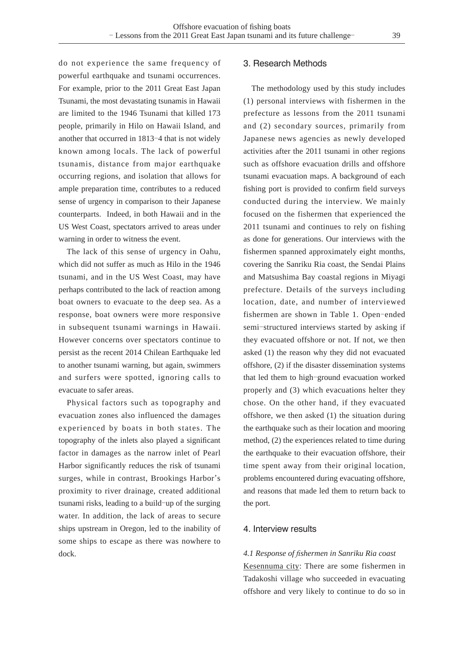do not experience the same frequency of powerful earthquake and tsunami occurrences. For example, prior to the 2011 Great East Japan Tsunami, the most devastating tsunamis in Hawaii are limited to the 1946 Tsunami that killed 173 people, primarily in Hilo on Hawaii Island, and another that occurred in 1813-4 that is not widely known among locals. The lack of powerful tsunamis, distance from major earthquake occurring regions, and isolation that allows for ample preparation time, contributes to a reduced sense of urgency in comparison to their Japanese counterparts. Indeed, in both Hawaii and in the US West Coast, spectators arrived to areas under warning in order to witness the event.

The lack of this sense of urgency in Oahu, which did not suffer as much as Hilo in the 1946 tsunami, and in the US West Coast, may have perhaps contributed to the lack of reaction among boat owners to evacuate to the deep sea. As a response, boat owners were more responsive in subsequent tsunami warnings in Hawaii. However concerns over spectators continue to persist as the recent 2014 Chilean Earthquake led to another tsunami warning, but again, swimmers and surfers were spotted, ignoring calls to evacuate to safer areas.

Physical factors such as topography and evacuation zones also influenced the damages experienced by boats in both states. The topography of the inlets also played a significant factor in damages as the narrow inlet of Pearl Harbor significantly reduces the risk of tsunami surges, while in contrast, Brookings Harbor's proximity to river drainage, created additional tsunami risks, leading to a build-up of the surging water. In addition, the lack of areas to secure ships upstream in Oregon, led to the inability of some ships to escape as there was nowhere to dock.

## 3. Research Methods

The methodology used by this study includes (1) personal interviews with fishermen in the prefecture as lessons from the 2011 tsunami and (2) secondary sources, primarily from Japanese news agencies as newly developed activities after the 2011 tsunami in other regions such as offshore evacuation drills and offshore tsunami evacuation maps. A background of each fishing port is provided to confirm field surveys conducted during the interview. We mainly focused on the fishermen that experienced the 2011 tsunami and continues to rely on fishing as done for generations. Our interviews with the fishermen spanned approximately eight months, covering the Sanriku Ria coast, the Sendai Plains and Matsushima Bay coastal regions in Miyagi prefecture. Details of the surveys including location, date, and number of interviewed fishermen are shown in Table 1. Open-ended semi-structured interviews started by asking if they evacuated offshore or not. If not, we then asked (1) the reason why they did not evacuated offshore, (2) if the disaster dissemination systems that led them to high-ground evacuation worked properly and (3) which evacuations helter they chose. On the other hand, if they evacuated offshore, we then asked (1) the situation during the earthquake such as their location and mooring method, (2) the experiences related to time during the earthquake to their evacuation offshore, their time spent away from their original location, problems encountered during evacuating offshore, and reasons that made led them to return back to the port.

## 4 Interview results

*4.1 Response of ¿ shermen in Sanriku Ria coast* Kesennuma city: There are some fishermen in Tadakoshi village who succeeded in evacuating offshore and very likely to continue to do so in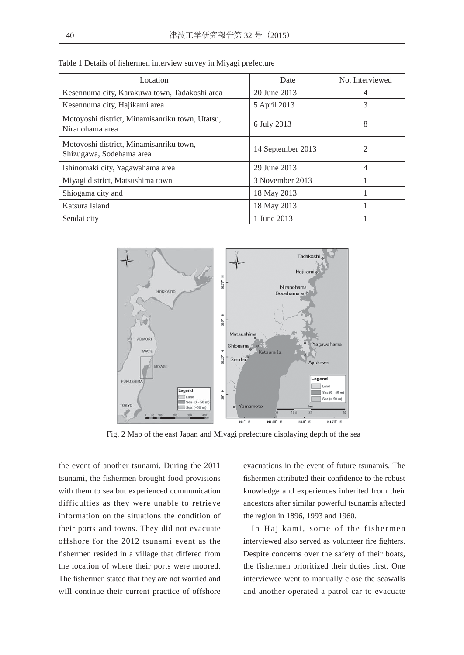| Location                                                            | Date              | No. Interviewed |
|---------------------------------------------------------------------|-------------------|-----------------|
| Kesennuma city, Karakuwa town, Tadakoshi area                       | 20 June 2013      | 4               |
| Kesennuma city, Hajikami area                                       | 5 April 2013      | 3               |
| Motoyoshi district, Minamisanriku town, Utatsu,<br>Niranohama area  | 6 July 2013       | 8               |
| Motoyoshi district, Minamisanriku town,<br>Shizugawa, Sodehama area | 14 September 2013 | 2               |
| Ishinomaki city, Yagawahama area                                    | 29 June 2013      | $\overline{4}$  |
| Miyagi district, Matsushima town                                    | 3 November 2013   |                 |
| Shiogama city and                                                   | 18 May 2013       |                 |
| Katsura Island                                                      | 18 May 2013       |                 |
| Sendai city                                                         | 1 June 2013       |                 |

Table 1 Details of fishermen interview survey in Miyagi prefecture



Fig. 2 Map of the east Japan and Miyagi prefecture displaying depth of the sea

the event of another tsunami. During the 2011 tsunami, the fishermen brought food provisions with them to sea but experienced communication difficulties as they were unable to retrieve information on the situations the condition of their ports and towns. They did not evacuate offshore for the 2012 tsunami event as the fishermen resided in a village that differed from the location of where their ports were moored. The fishermen stated that they are not worried and will continue their current practice of offshore evacuations in the event of future tsunamis. The fishermen attributed their confidence to the robust knowledge and experiences inherited from their ancestors after similar powerful tsunamis affected the region in 1896, 1993 and 1960.

In Hajikami, some of the fishermen interviewed also served as volunteer fire fighters. Despite concerns over the safety of their boats, the fishermen prioritized their duties first. One interviewee went to manually close the seawalls and another operated a patrol car to evacuate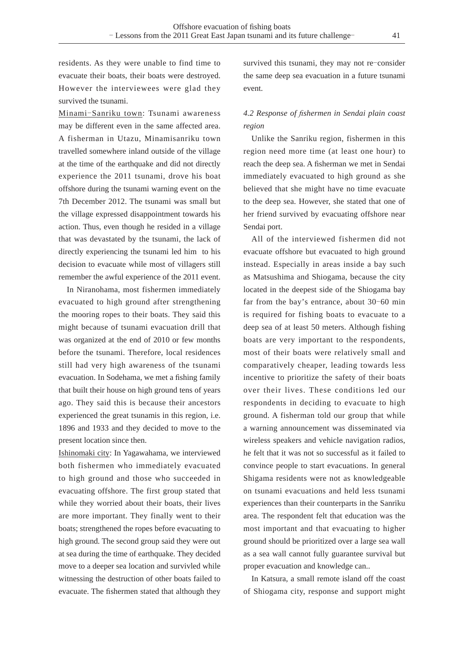residents. As they were unable to find time to evacuate their boats, their boats were destroyed. However the interviewees were glad they survived the tsunami.

Minami-Sanriku town: Tsunami awareness may be different even in the same affected area. A fisherman in Utazu, Minamisanriku town travelled somewhere inland outside of the village at the time of the earthquake and did not directly experience the 2011 tsunami, drove his boat offshore during the tsunami warning event on the 7th December 2012. The tsunami was small but the village expressed disappointment towards his action. Thus, even though he resided in a village that was devastated by the tsunami, the lack of directly experiencing the tsunami led him to his decision to evacuate while most of villagers still remember the awful experience of the 2011 event.

In Niranohama, most fishermen immediately evacuated to high ground after strengthening the mooring ropes to their boats. They said this might because of tsunami evacuation drill that was organized at the end of 2010 or few months before the tsunami. Therefore, local residences still had very high awareness of the tsunami evacuation. In Sodehama, we met a fishing family that built their house on high ground tens of years ago. They said this is because their ancestors experienced the great tsunamis in this region, i.e. 1896 and 1933 and they decided to move to the present location since then.

Ishinomaki city: In Yagawahama, we interviewed both fishermen who immediately evacuated to high ground and those who succeeded in evacuating offshore. The first group stated that while they worried about their boats, their lives are more important. They finally went to their boats; strengthened the ropes before evacuating to high ground. The second group said they were out at sea during the time of earthquake. They decided move to a deeper sea location and survivled while witnessing the destruction of other boats failed to evacuate. The fishermen stated that although they

survived this tsunami, they may not re-consider the same deep sea evacuation in a future tsunami event.

## *4.2 Response of ¿ shermen in Sendai plain coast region*

Unlike the Sanriku region, fishermen in this region need more time (at least one hour) to reach the deep sea. A fisherman we met in Sendai immediately evacuated to high ground as she believed that she might have no time evacuate to the deep sea. However, she stated that one of her friend survived by evacuating offshore near Sendai port.

All of the interviewed fishermen did not evacuate offshore but evacuated to high ground instead. Especially in areas inside a bay such as Matsushima and Shiogama, because the city located in the deepest side of the Shiogama bay far from the bay's entrance, about  $30-60$  min is required for fishing boats to evacuate to a deep sea of at least 50 meters. Although fishing boats are very important to the respondents, most of their boats were relatively small and comparatively cheaper, leading towards less incentive to prioritize the safety of their boats over their lives. These conditions led our respondents in deciding to evacuate to high ground. A fisherman told our group that while a warning announcement was disseminated via wireless speakers and vehicle navigation radios, he felt that it was not so successful as it failed to convince people to start evacuations. In general Shigama residents were not as knowledgeable on tsunami evacuations and held less tsunami experiences than their counterparts in the Sanriku area. The respondent felt that education was the most important and that evacuating to higher ground should be prioritized over a large sea wall as a sea wall cannot fully guarantee survival but proper evacuation and knowledge can..

In Katsura, a small remote island off the coast of Shiogama city, response and support might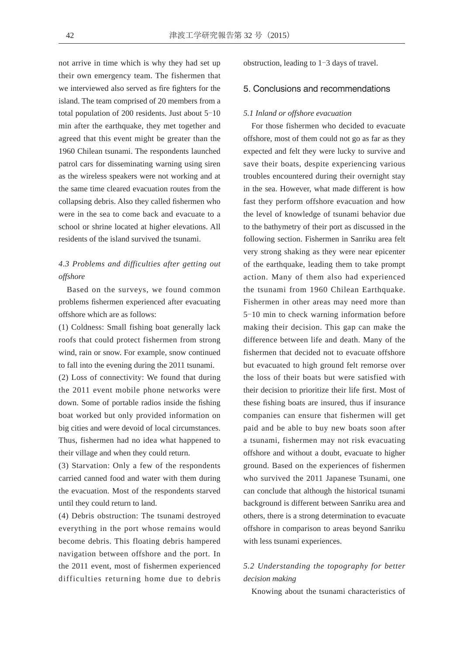not arrive in time which is why they had set up their own emergency team. The fishermen that we interviewed also served as fire fighters for the island. The team comprised of 20 members from a total population of  $200$  residents. Just about  $5-10$ min after the earthquake, they met together and agreed that this event might be greater than the 1960 Chilean tsunami. The respondents launched patrol cars for disseminating warning using siren as the wireless speakers were not working and at the same time cleared evacuation routes from the collapsing debris. Also they called fishermen who were in the sea to come back and evacuate to a school or shrine located at higher elevations. All residents of the island survived the tsunami.

# *4.3 Problems and difficulties after getting out offshore*

Based on the surveys, we found common problems fishermen experienced after evacuating offshore which are as follows:

(1) Coldness: Small fishing boat generally lack roofs that could protect fishermen from strong wind, rain or snow. For example, snow continued to fall into the evening during the 2011 tsunami.

(2) Loss of connectivity: We found that during the 2011 event mobile phone networks were down. Some of portable radios inside the fishing boat worked but only provided information on big cities and were devoid of local circumstances. Thus, fishermen had no idea what happened to their village and when they could return.

(3) Starvation: Only a few of the respondents carried canned food and water with them during the evacuation. Most of the respondents starved until they could return to land.

(4) Debris obstruction: The tsunami destroyed everything in the port whose remains would become debris. This floating debris hampered navigation between offshore and the port. In the 2011 event, most of fishermen experienced difficulties returning home due to debris obstruction, leading to  $1-3$  days of travel.

### 5. Conclusions and recommendations

#### *5.1 Inland or offshore evacuation*

For those fishermen who decided to evacuate offshore, most of them could not go as far as they expected and felt they were lucky to survive and save their boats, despite experiencing various troubles encountered during their overnight stay in the sea. However, what made different is how fast they perform offshore evacuation and how the level of knowledge of tsunami behavior due to the bathymetry of their port as discussed in the following section. Fishermen in Sanriku area felt very strong shaking as they were near epicenter of the earthquake, leading them to take prompt action. Many of them also had experienced the tsunami from 1960 Chilean Earthquake. Fishermen in other areas may need more than 5-10 min to check warning information before making their decision. This gap can make the difference between life and death. Many of the fishermen that decided not to evacuate offshore but evacuated to high ground felt remorse over the loss of their boats but were satisfied with their decision to prioritize their life first. Most of these fishing boats are insured, thus if insurance companies can ensure that fishermen will get paid and be able to buy new boats soon after a tsunami, fishermen may not risk evacuating offshore and without a doubt, evacuate to higher ground. Based on the experiences of fishermen who survived the 2011 Japanese Tsunami, one can conclude that although the historical tsunami background is different between Sanriku area and others, there is a strong determination to evacuate offshore in comparison to areas beyond Sanriku with less tsunami experiences.

# *5.2 Understanding the topography for better decision making*

Knowing about the tsunami characteristics of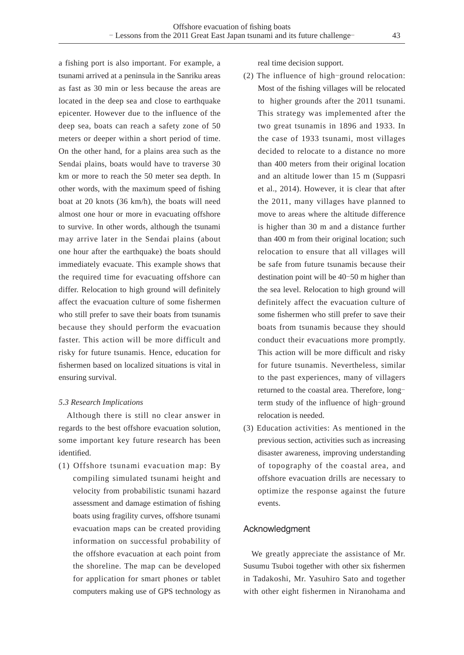a fishing port is also important. For example, a tsunami arrived at a peninsula in the Sanriku areas as fast as 30 min or less because the areas are located in the deep sea and close to earthquake epicenter. However due to the influence of the deep sea, boats can reach a safety zone of 50 meters or deeper within a short period of time. On the other hand, for a plains area such as the Sendai plains, boats would have to traverse 30 km or more to reach the 50 meter sea depth. In other words, with the maximum speed of fishing boat at 20 knots (36 km/h), the boats will need almost one hour or more in evacuating offshore to survive. In other words, although the tsunami may arrive later in the Sendai plains (about one hour after the earthquake) the boats should immediately evacuate. This example shows that the required time for evacuating offshore can differ. Relocation to high ground will definitely affect the evacuation culture of some fishermen who still prefer to save their boats from tsunamis because they should perform the evacuation faster. This action will be more difficult and risky for future tsunamis. Hence, education for fishermen based on localized situations is vital in ensuring survival.

### *5.3 Research Implications*

Although there is still no clear answer in regards to the best offshore evacuation solution, some important key future research has been identified.

(1) Offshore tsunami evacuation map: By compiling simulated tsunami height and velocity from probabilistic tsunami hazard assessment and damage estimation of fishing boats using fragility curves, offshore tsunami evacuation maps can be created providing information on successful probability of the offshore evacuation at each point from the shoreline. The map can be developed for application for smart phones or tablet computers making use of GPS technology as

real time decision support.

- (2) The influence of high-ground relocation: Most of the fishing villages will be relocated to higher grounds after the 2011 tsunami. This strategy was implemented after the two great tsunamis in 1896 and 1933. In the case of 1933 tsunami, most villages decided to relocate to a distance no more than 400 meters from their original location and an altitude lower than 15 m (Suppasri et al., 2014). However, it is clear that after the 2011, many villages have planned to move to areas where the altitude difference is higher than 30 m and a distance further than 400 m from their original location; such relocation to ensure that all villages will be safe from future tsunamis because their destination point will be  $40-50$  m higher than the sea level. Relocation to high ground will definitely affect the evacuation culture of some fishermen who still prefer to save their boats from tsunamis because they should conduct their evacuations more promptly. This action will be more difficult and risky for future tsunamis. Nevertheless, similar to the past experiences, many of villagers returned to the coastal area. Therefore, long term study of the influence of high-ground relocation is needed.
- (3) Education activities: As mentioned in the previous section, activities such as increasing disaster awareness, improving understanding of topography of the coastal area, and offshore evacuation drills are necessary to optimize the response against the future events.

### Acknowledgment

We greatly appreciate the assistance of Mr. Susumu Tsuboi together with other six fishermen in Tadakoshi, Mr. Yasuhiro Sato and together with other eight fishermen in Niranohama and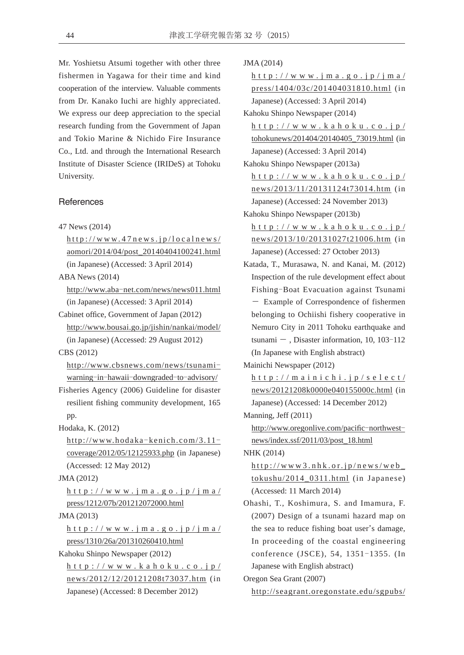Mr. Yoshietsu Atsumi together with other three fishermen in Yagawa for their time and kind cooperation of the interview. Valuable comments from Dr. Kanako Iuchi are highly appreciated. We express our deep appreciation to the special research funding from the Government of Japan and Tokio Marine & Nichido Fire Insurance Co., Ltd. and through the International Research Institute of Disaster Science (IRIDeS) at Tohoku University.

## **References**

- 47 News (2014)
	- http://www.47news.jp/localnews/ aomori/2014/04/post\_20140404100241.html (in Japanese) (Accessed: 3 April 2014)

ABA News (2014)

http://www.aba-net.com/news/news011.html (in Japanese) (Accessed: 3 April 2014)

Cabinet office, Government of Japan (2012) http://www.bousai.go.jp/jishin/nankai/model/ (in Japanese) (Accessed: 29 August 2012)

CBS (2012)

http://www.cbsnews.com/news/tsunami warning-in-hawaii-downgraded-to-advisory/

- Fisheries Agency (2006) Guideline for disaster resilient fishing community development, 165 pp.
- Hodaka, K. (2012)

 $http://www.hodaka-kenich.com/3.11$ coverage/2012/05/12125933.php (in Japanese) (Accessed: 12 May 2012)

JMA (2012)

http://www.jma.go.jp/jma/ press/1212/07b/201212072000.html

JMA (2013)

http://www.jma.go.jp/jma/ press/1310/26a/201310260410.html

Kahoku Shinpo Newspaper (2012)

http://www.kahoku.co.jp/ news/2012/12/20121208t73037.htm (in Japanese) (Accessed: 8 December 2012)

JMA (2014)

http://www.jma.go.jp/jma/ press/1404/03c/201404031810.html (in Japanese) (Accessed: 3 April 2014)

Kahoku Shinpo Newspaper (2014)

http://www.kahoku.co.jp/ tohokunews/201404/20140405\_73019.html (in Japanese) (Accessed: 3 April 2014)

Kahoku Shinpo Newspaper (2013a)

http://www.kahoku.co.jp/ news/2013/11/20131124t73014.htm (in Japanese) (Accessed: 24 November 2013)

Kahoku Shinpo Newspaper (2013b)

- http://www.kahoku.co.jp/ news/2013/10/20131027t21006.htm (in Japanese) (Accessed: 27 October 2013)
- Katada, T., Murasawa, N. and Kanai, M. (2012) Inspection of the rule development effect about Fishing-Boat Evacuation against Tsunami Ƚ Example of Correspondence of fishermen belonging to Ochiishi fishery cooperative in Nemuro City in 2011 Tohoku earthquake and tsunami  $-$ , Disaster information, 10, 103-112 (In Japanese with English abstract)

Mainichi Newspaper (2012)

http://mainichi.jp/select/ news/20121208k0000e040155000c.html (in Japanese) (Accessed: 14 December 2012)

Manning, Jeff (2011)

http://www.oregonlive.com/pacific-northwestnews/index.ssf/2011/03/post\_18.html

NHK (2014)

http://www3.nhk.or.jp/news/web\_ tokushu/2014\_0311.html (in Japanese) (Accessed: 11 March 2014)

Ohashi, T., Koshimura, S. and Imamura, F. (2007) Design of a tsunami hazard map on the sea to reduce fishing boat user's damage, In proceeding of the coastal engineering conference (JSCE), 54, 1351-1355. (In Japanese with English abstract)

Oregon Sea Grant (2007)

http://seagrant.oregonstate.edu/sgpubs/